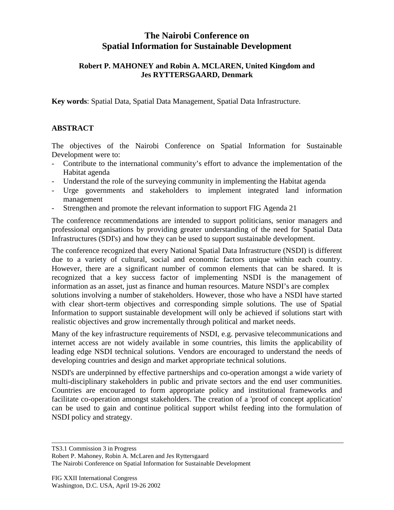## **The Nairobi Conference on Spatial Information for Sustainable Development**

## **Robert P. MAHONEY and Robin A. MCLAREN, United Kingdom and Jes RYTTERSGAARD, Denmark**

**Key words**: Spatial Data, Spatial Data Management, Spatial Data Infrastructure.

## **ABSTRACT**

The objectives of the Nairobi Conference on Spatial Information for Sustainable Development were to:

- Contribute to the international community's effort to advance the implementation of the Habitat agenda
- Understand the role of the surveying community in implementing the Habitat agenda
- Urge governments and stakeholders to implement integrated land information management
- Strengthen and promote the relevant information to support FIG Agenda 21

The conference recommendations are intended to support politicians, senior managers and professional organisations by providing greater understanding of the need for Spatial Data Infrastructures (SDI's) and how they can be used to support sustainable development.

The conference recognized that every National Spatial Data Infrastructure (NSDI) is different due to a variety of cultural, social and economic factors unique within each country. However, there are a significant number of common elements that can be shared. It is recognized that a key success factor of implementing NSDI is the management of information as an asset, just as finance and human resources. Mature NSDI's are complex solutions involving a number of stakeholders. However, those who have a NSDI have started with clear short-term objectives and corresponding simple solutions. The use of Spatial Information to support sustainable development will only be achieved if solutions start with realistic objectives and grow incrementally through political and market needs.

Many of the key infrastructure requirements of NSDI, e.g. pervasive telecommunications and internet access are not widely available in some countries, this limits the applicability of leading edge NSDI technical solutions. Vendors are encouraged to understand the needs of developing countries and design and market appropriate technical solutions.

NSDI's are underpinned by effective partnerships and co-operation amongst a wide variety of multi-disciplinary stakeholders in public and private sectors and the end user communities. Countries are encouraged to form appropriate policy and institutional frameworks and facilitate co-operation amongst stakeholders. The creation of a 'proof of concept application' can be used to gain and continue political support whilst feeding into the formulation of NSDI policy and strategy.